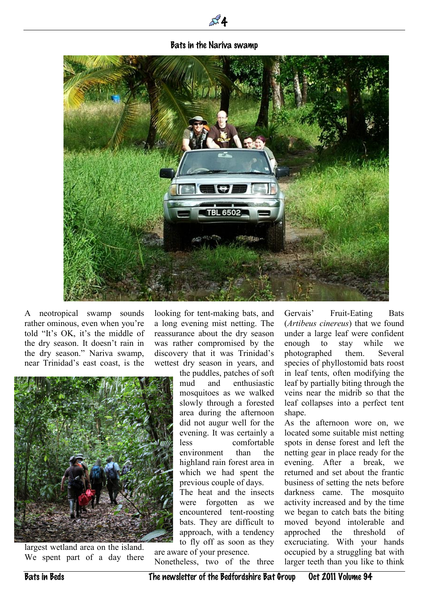## Bats in the Nariva swamp

 $\mathbb{Z}^2$  4



A neotropical swamp sounds rather ominous, even when you're told "It's OK, it's the middle of the dry season. It doesn't rain in the dry season." Nariva swamp, near Trinidad's east coast, is the

looking for tent-making bats, and a long evening mist netting. The reassurance about the dry season was rather compromised by the discovery that it was Trinidad's wettest dry season in years, and



largest wetland area on the island. We spent part of a day there the puddles, patches of soft mud and enthusiastic mosquitoes as we walked slowly through a forested area during the afternoon did not augur well for the evening. It was certainly a less comfortable environment than the highland rain forest area in which we had spent the previous couple of days.

The heat and the insects were forgotten as we encountered tent-roosting bats. They are difficult to approach, with a tendency to fly off as soon as they

are aware of your presence. Nonetheless, two of the three Gervais' Fruit-Eating Bats (*Artibeus cinereus*) that we found under a large leaf were confident enough to stay while we photographed them. Several species of phyllostomid bats roost in leaf tents, often modifying the leaf by partially biting through the veins near the midrib so that the leaf collapses into a perfect tent shape.

As the afternoon wore on, we located some suitable mist netting spots in dense forest and left the netting gear in place ready for the evening. After a break, we returned and set about the frantic business of setting the nets before darkness came. The mosquito activity increased and by the time we began to catch bats the biting moved beyond intolerable and approched the threshold of excruciating. With your hands occupied by a struggling bat with larger teeth than you like to think